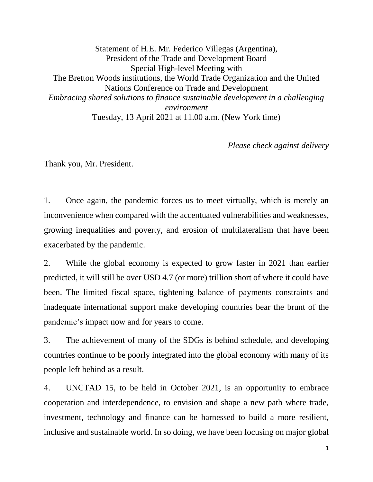Statement of H.E. Mr. Federico Villegas (Argentina), President of the Trade and Development Board Special High-level Meeting with The Bretton Woods institutions, the World Trade Organization and the United Nations Conference on Trade and Development *Embracing shared solutions to finance sustainable development in a challenging environment* Tuesday, 13 April 2021 at 11.00 a.m. (New York time)

*Please check against delivery*

Thank you, Mr. President.

1. Once again, the pandemic forces us to meet virtually, which is merely an inconvenience when compared with the accentuated vulnerabilities and weaknesses, growing inequalities and poverty, and erosion of multilateralism that have been exacerbated by the pandemic.

2. While the global economy is expected to grow faster in 2021 than earlier predicted, it will still be over USD 4.7 (or more) trillion short of where it could have been. The limited fiscal space, tightening balance of payments constraints and inadequate international support make developing countries bear the brunt of the pandemic's impact now and for years to come.

3. The achievement of many of the SDGs is behind schedule, and developing countries continue to be poorly integrated into the global economy with many of its people left behind as a result.

4. UNCTAD 15, to be held in October 2021, is an opportunity to embrace cooperation and interdependence, to envision and shape a new path where trade, investment, technology and finance can be harnessed to build a more resilient, inclusive and sustainable world. In so doing, we have been focusing on major global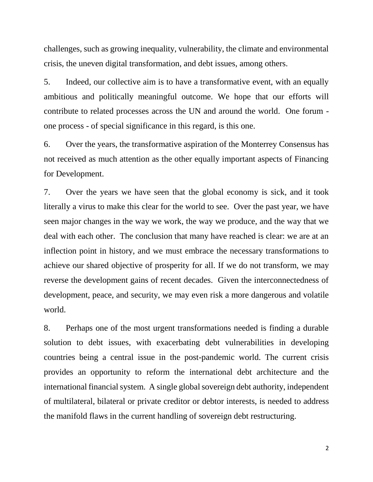challenges, such as growing inequality, vulnerability, the climate and environmental crisis, the uneven digital transformation, and debt issues, among others.

5. Indeed, our collective aim is to have a transformative event, with an equally ambitious and politically meaningful outcome. We hope that our efforts will contribute to related processes across the UN and around the world. One forum one process - of special significance in this regard, is this one.

6. Over the years, the transformative aspiration of the Monterrey Consensus has not received as much attention as the other equally important aspects of Financing for Development.

7. Over the years we have seen that the global economy is sick, and it took literally a virus to make this clear for the world to see. Over the past year, we have seen major changes in the way we work, the way we produce, and the way that we deal with each other. The conclusion that many have reached is clear: we are at an inflection point in history, and we must embrace the necessary transformations to achieve our shared objective of prosperity for all. If we do not transform, we may reverse the development gains of recent decades. Given the interconnectedness of development, peace, and security, we may even risk a more dangerous and volatile world.

8. Perhaps one of the most urgent transformations needed is finding a durable solution to debt issues, with exacerbating debt vulnerabilities in developing countries being a central issue in the post-pandemic world. The current crisis provides an opportunity to reform the international debt architecture and the international financial system. A single global sovereign debt authority, independent of multilateral, bilateral or private creditor or debtor interests, is needed to address the manifold flaws in the current handling of sovereign debt restructuring.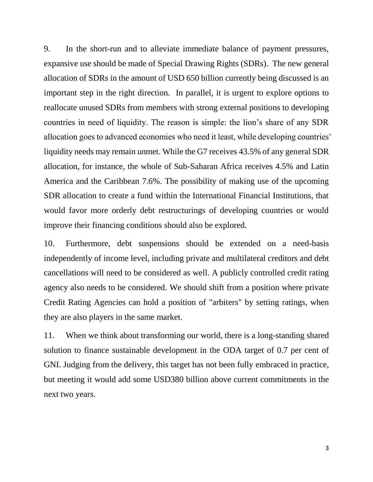9. In the short-run and to alleviate immediate balance of payment pressures, expansive use should be made of Special Drawing Rights (SDRs). The new general allocation of SDRs in the amount of USD 650 billion currently being discussed is an important step in the right direction. In parallel, it is urgent to explore options to reallocate unused SDRs from members with strong external positions to developing countries in need of liquidity. The reason is simple: the lion's share of any SDR allocation goes to advanced economies who need it least, while developing countries' liquidity needs may remain unmet. While the G7 receives 43.5% of any general SDR allocation, for instance, the whole of Sub-Saharan Africa receives 4.5% and Latin America and the Caribbean 7.6%. The possibility of making use of the upcoming SDR allocation to create a fund within the International Financial Institutions, that would favor more orderly debt restructurings of developing countries or would improve their financing conditions should also be explored.

10. Furthermore, debt suspensions should be extended on a need-basis independently of income level, including private and multilateral creditors and debt cancellations will need to be considered as well. A publicly controlled credit rating agency also needs to be considered. We should shift from a position where private Credit Rating Agencies can hold a position of "arbiters" by setting ratings, when they are also players in the same market.

11. When we think about transforming our world, there is a long-standing shared solution to finance sustainable development in the ODA target of 0.7 per cent of GNI. Judging from the delivery, this target has not been fully embraced in practice, but meeting it would add some USD380 billion above current commitments in the next two years.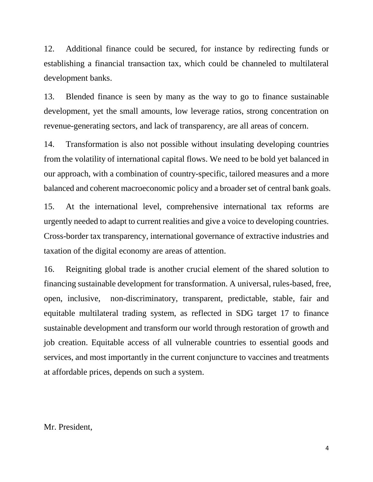12. Additional finance could be secured, for instance by redirecting funds or establishing a financial transaction tax, which could be channeled to multilateral development banks.

13. Blended finance is seen by many as the way to go to finance sustainable development, yet the small amounts, low leverage ratios, strong concentration on revenue-generating sectors, and lack of transparency, are all areas of concern.

14. Transformation is also not possible without insulating developing countries from the volatility of international capital flows. We need to be bold yet balanced in our approach, with a combination of country-specific, tailored measures and a more balanced and coherent macroeconomic policy and a broader set of central bank goals.

15. At the international level, comprehensive international tax reforms are urgently needed to adapt to current realities and give a voice to developing countries. Cross-border tax transparency, international governance of extractive industries and taxation of the digital economy are areas of attention.

16. Reigniting global trade is another crucial element of the shared solution to financing sustainable development for transformation. A universal, rules-based, free, open, inclusive, non-discriminatory, transparent, predictable, stable, fair and equitable multilateral trading system, as reflected in SDG target 17 to finance sustainable development and transform our world through restoration of growth and job creation. Equitable access of all vulnerable countries to essential goods and services, and most importantly in the current conjuncture to vaccines and treatments at affordable prices, depends on such a system.

## Mr. President,